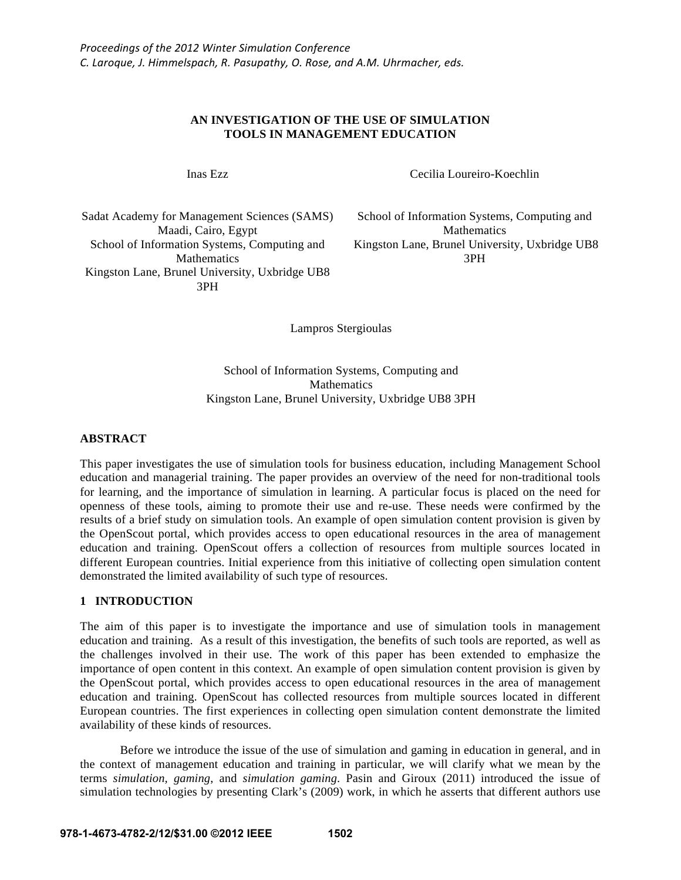# **AN INVESTIGATION OF THE USE OF SIMULATION TOOLS IN MANAGEMENT EDUCATION**

Inas Ezz

Cecilia Loureiro-Koechlin

Sadat Academy for Management Sciences (SAMS) Maadi, Cairo, Egypt School of Information Systems, Computing and Mathematics Kingston Lane, Brunel University, Uxbridge UB8 3PH

School of Information Systems, Computing and Mathematics Kingston Lane, Brunel University, Uxbridge UB8 3PH

Lampros Stergioulas

School of Information Systems, Computing and Mathematics Kingston Lane, Brunel University, Uxbridge UB8 3PH

#### **ABSTRACT**

This paper investigates the use of simulation tools for business education, including Management School education and managerial training. The paper provides an overview of the need for non-traditional tools for learning, and the importance of simulation in learning. A particular focus is placed on the need for openness of these tools, aiming to promote their use and re-use. These needs were confirmed by the results of a brief study on simulation tools. An example of open simulation content provision is given by the OpenScout portal, which provides access to open educational resources in the area of management education and training. OpenScout offers a collection of resources from multiple sources located in different European countries. Initial experience from this initiative of collecting open simulation content demonstrated the limited availability of such type of resources.

### **1 INTRODUCTION**

The aim of this paper is to investigate the importance and use of simulation tools in management education and training. As a result of this investigation, the benefits of such tools are reported, as well as the challenges involved in their use. The work of this paper has been extended to emphasize the importance of open content in this context. An example of open simulation content provision is given by the OpenScout portal, which provides access to open educational resources in the area of management education and training. OpenScout has collected resources from multiple sources located in different European countries. The first experiences in collecting open simulation content demonstrate the limited availability of these kinds of resources.

Before we introduce the issue of the use of simulation and gaming in education in general, and in the context of management education and training in particular, we will clarify what we mean by the terms *simulation, gaming*, and *simulation gaming*. Pasin and Giroux (2011) introduced the issue of simulation technologies by presenting Clark's (2009) work, in which he asserts that different authors use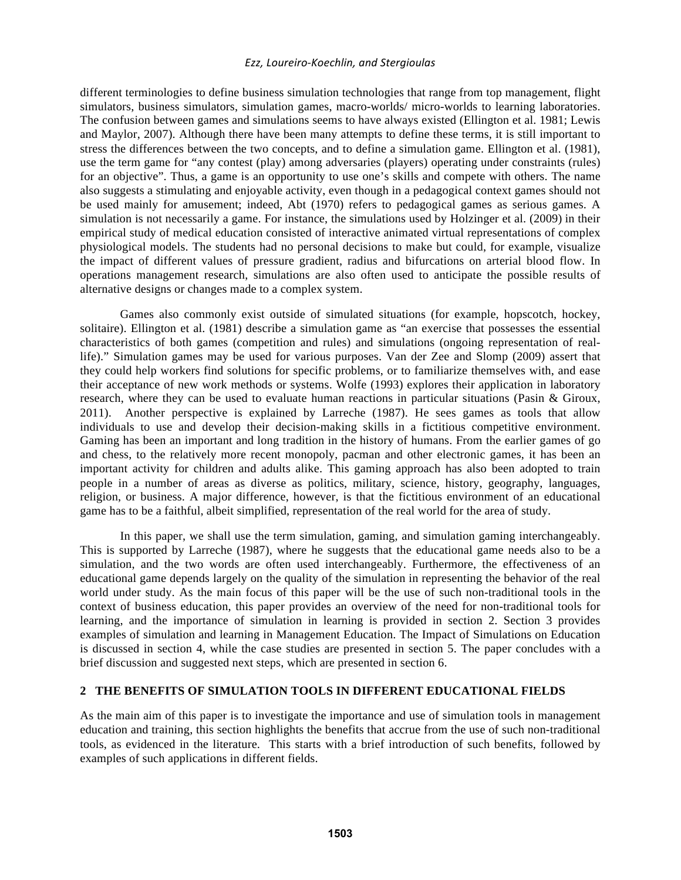different terminologies to define business simulation technologies that range from top management, flight simulators, business simulators, simulation games, macro-worlds/ micro-worlds to learning laboratories. The confusion between games and simulations seems to have always existed (Ellington et al. 1981; Lewis and Maylor, 2007). Although there have been many attempts to define these terms, it is still important to stress the differences between the two concepts, and to define a simulation game. Ellington et al. (1981), use the term game for "any contest (play) among adversaries (players) operating under constraints (rules) for an objective". Thus, a game is an opportunity to use one's skills and compete with others. The name also suggests a stimulating and enjoyable activity, even though in a pedagogical context games should not be used mainly for amusement; indeed, Abt (1970) refers to pedagogical games as serious games. A simulation is not necessarily a game. For instance, the simulations used by Holzinger et al. (2009) in their empirical study of medical education consisted of interactive animated virtual representations of complex physiological models. The students had no personal decisions to make but could, for example, visualize the impact of different values of pressure gradient, radius and bifurcations on arterial blood flow. In operations management research, simulations are also often used to anticipate the possible results of alternative designs or changes made to a complex system.

Games also commonly exist outside of simulated situations (for example, hopscotch, hockey, solitaire). Ellington et al. (1981) describe a simulation game as "an exercise that possesses the essential characteristics of both games (competition and rules) and simulations (ongoing representation of reallife)." Simulation games may be used for various purposes. Van der Zee and Slomp (2009) assert that they could help workers find solutions for specific problems, or to familiarize themselves with, and ease their acceptance of new work methods or systems. Wolfe (1993) explores their application in laboratory research, where they can be used to evaluate human reactions in particular situations (Pasin & Giroux, 2011). Another perspective is explained by Larreche (1987). He sees games as tools that allow individuals to use and develop their decision-making skills in a fictitious competitive environment. Gaming has been an important and long tradition in the history of humans. From the earlier games of go and chess, to the relatively more recent monopoly, pacman and other electronic games, it has been an important activity for children and adults alike. This gaming approach has also been adopted to train people in a number of areas as diverse as politics, military, science, history, geography, languages, religion, or business. A major difference, however, is that the fictitious environment of an educational game has to be a faithful, albeit simplified, representation of the real world for the area of study.

In this paper, we shall use the term simulation, gaming, and simulation gaming interchangeably. This is supported by Larreche (1987), where he suggests that the educational game needs also to be a simulation, and the two words are often used interchangeably. Furthermore, the effectiveness of an educational game depends largely on the quality of the simulation in representing the behavior of the real world under study. As the main focus of this paper will be the use of such non-traditional tools in the context of business education, this paper provides an overview of the need for non-traditional tools for learning, and the importance of simulation in learning is provided in section 2. Section 3 provides examples of simulation and learning in Management Education. The Impact of Simulations on Education is discussed in section 4, while the case studies are presented in section 5. The paper concludes with a brief discussion and suggested next steps, which are presented in section 6.

# **2 THE BENEFITS OF SIMULATION TOOLS IN DIFFERENT EDUCATIONAL FIELDS**

As the main aim of this paper is to investigate the importance and use of simulation tools in management education and training, this section highlights the benefits that accrue from the use of such non-traditional tools, as evidenced in the literature. This starts with a brief introduction of such benefits, followed by examples of such applications in different fields.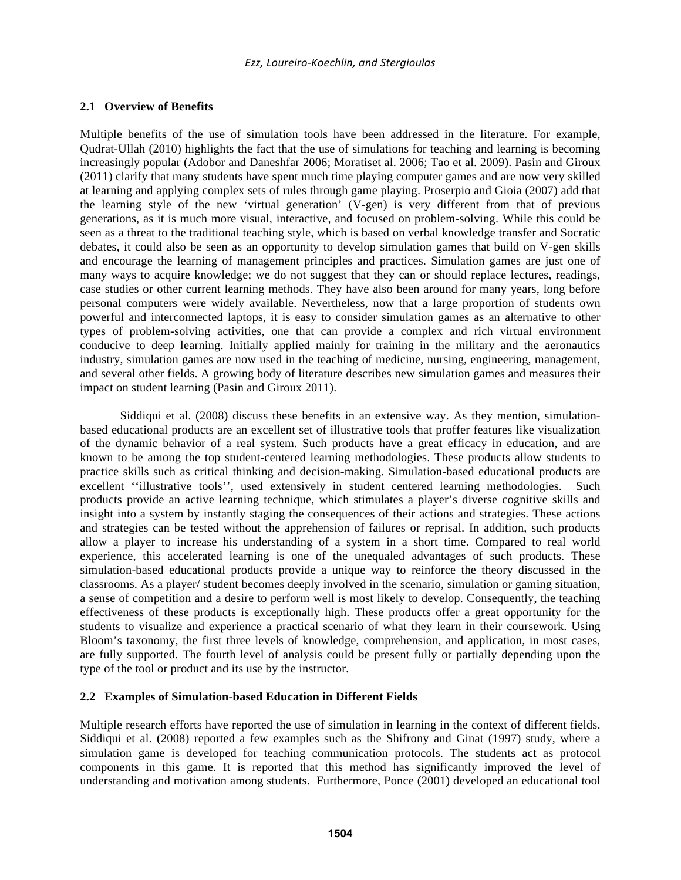# **2.1 Overview of Benefits**

Multiple benefits of the use of simulation tools have been addressed in the literature. For example, Qudrat-Ullah (2010) highlights the fact that the use of simulations for teaching and learning is becoming increasingly popular (Adobor and Daneshfar 2006; Moratiset al. 2006; Tao et al. 2009). Pasin and Giroux (2011) clarify that many students have spent much time playing computer games and are now very skilled at learning and applying complex sets of rules through game playing. Proserpio and Gioia (2007) add that the learning style of the new 'virtual generation' (V-gen) is very different from that of previous generations, as it is much more visual, interactive, and focused on problem-solving. While this could be seen as a threat to the traditional teaching style, which is based on verbal knowledge transfer and Socratic debates, it could also be seen as an opportunity to develop simulation games that build on V-gen skills and encourage the learning of management principles and practices. Simulation games are just one of many ways to acquire knowledge; we do not suggest that they can or should replace lectures, readings, case studies or other current learning methods. They have also been around for many years, long before personal computers were widely available. Nevertheless, now that a large proportion of students own powerful and interconnected laptops, it is easy to consider simulation games as an alternative to other types of problem-solving activities, one that can provide a complex and rich virtual environment conducive to deep learning. Initially applied mainly for training in the military and the aeronautics industry, simulation games are now used in the teaching of medicine, nursing, engineering, management, and several other fields. A growing body of literature describes new simulation games and measures their impact on student learning (Pasin and Giroux 2011).

Siddiqui et al. (2008) discuss these benefits in an extensive way. As they mention, simulationbased educational products are an excellent set of illustrative tools that proffer features like visualization of the dynamic behavior of a real system. Such products have a great efficacy in education, and are known to be among the top student-centered learning methodologies. These products allow students to practice skills such as critical thinking and decision-making. Simulation-based educational products are excellent ''illustrative tools'', used extensively in student centered learning methodologies. Such products provide an active learning technique, which stimulates a player's diverse cognitive skills and insight into a system by instantly staging the consequences of their actions and strategies. These actions and strategies can be tested without the apprehension of failures or reprisal. In addition, such products allow a player to increase his understanding of a system in a short time. Compared to real world experience, this accelerated learning is one of the unequaled advantages of such products. These simulation-based educational products provide a unique way to reinforce the theory discussed in the classrooms. As a player/ student becomes deeply involved in the scenario, simulation or gaming situation, a sense of competition and a desire to perform well is most likely to develop. Consequently, the teaching effectiveness of these products is exceptionally high. These products offer a great opportunity for the students to visualize and experience a practical scenario of what they learn in their coursework. Using Bloom's taxonomy, the first three levels of knowledge, comprehension, and application, in most cases, are fully supported. The fourth level of analysis could be present fully or partially depending upon the type of the tool or product and its use by the instructor.

# **2.2 Examples of Simulation-based Education in Different Fields**

Multiple research efforts have reported the use of simulation in learning in the context of different fields. Siddiqui et al. (2008) reported a few examples such as the Shifrony and Ginat (1997) study, where a simulation game is developed for teaching communication protocols. The students act as protocol components in this game. It is reported that this method has significantly improved the level of understanding and motivation among students. Furthermore, Ponce (2001) developed an educational tool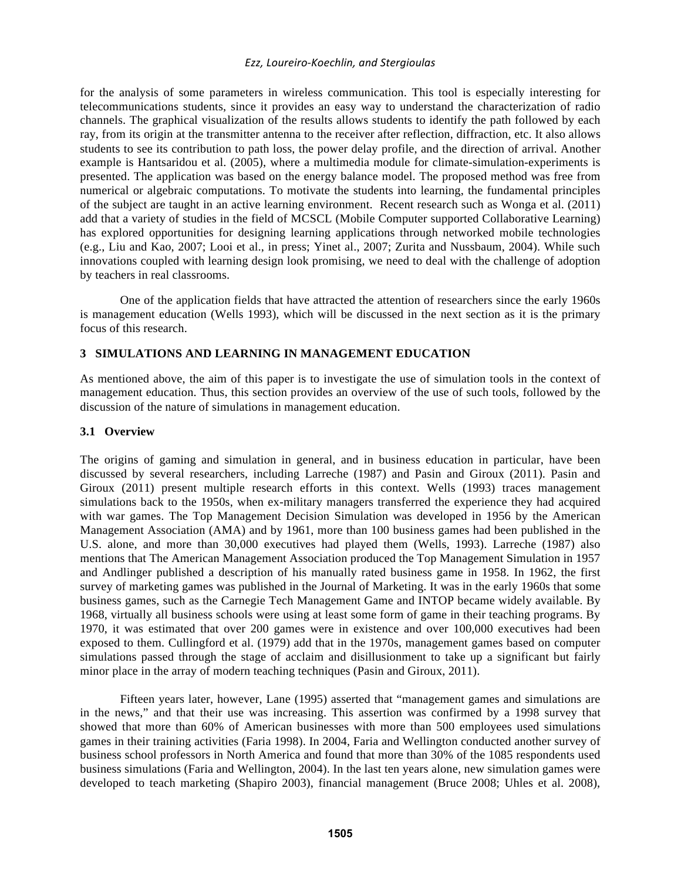for the analysis of some parameters in wireless communication. This tool is especially interesting for telecommunications students, since it provides an easy way to understand the characterization of radio channels. The graphical visualization of the results allows students to identify the path followed by each ray, from its origin at the transmitter antenna to the receiver after reflection, diffraction, etc. It also allows students to see its contribution to path loss, the power delay profile, and the direction of arrival. Another example is Hantsaridou et al. (2005), where a multimedia module for climate-simulation-experiments is presented. The application was based on the energy balance model. The proposed method was free from numerical or algebraic computations. To motivate the students into learning, the fundamental principles of the subject are taught in an active learning environment. Recent research such as Wonga et al. (2011) add that a variety of studies in the field of MCSCL (Mobile Computer supported Collaborative Learning) has explored opportunities for designing learning applications through networked mobile technologies (e.g., Liu and Kao, 2007; Looi et al., in press; Yinet al., 2007; Zurita and Nussbaum, 2004). While such innovations coupled with learning design look promising, we need to deal with the challenge of adoption by teachers in real classrooms.

One of the application fields that have attracted the attention of researchers since the early 1960s is management education (Wells 1993), which will be discussed in the next section as it is the primary focus of this research.

# **3 SIMULATIONS AND LEARNING IN MANAGEMENT EDUCATION**

As mentioned above, the aim of this paper is to investigate the use of simulation tools in the context of management education. Thus, this section provides an overview of the use of such tools, followed by the discussion of the nature of simulations in management education.

# **3.1 Overview**

The origins of gaming and simulation in general, and in business education in particular, have been discussed by several researchers, including Larreche (1987) and Pasin and Giroux (2011). Pasin and Giroux (2011) present multiple research efforts in this context. Wells (1993) traces management simulations back to the 1950s, when ex-military managers transferred the experience they had acquired with war games. The Top Management Decision Simulation was developed in 1956 by the American Management Association (AMA) and by 1961, more than 100 business games had been published in the U.S. alone, and more than 30,000 executives had played them (Wells, 1993). Larreche (1987) also mentions that The American Management Association produced the Top Management Simulation in 1957 and Andlinger published a description of his manually rated business game in 1958. In 1962, the first survey of marketing games was published in the Journal of Marketing. It was in the early 1960s that some business games, such as the Carnegie Tech Management Game and INTOP became widely available. By 1968, virtually all business schools were using at least some form of game in their teaching programs. By 1970, it was estimated that over 200 games were in existence and over 100,000 executives had been exposed to them. Cullingford et al. (1979) add that in the 1970s, management games based on computer simulations passed through the stage of acclaim and disillusionment to take up a significant but fairly minor place in the array of modern teaching techniques (Pasin and Giroux, 2011).

Fifteen years later, however, Lane (1995) asserted that "management games and simulations are in the news," and that their use was increasing. This assertion was confirmed by a 1998 survey that showed that more than 60% of American businesses with more than 500 employees used simulations games in their training activities (Faria 1998). In 2004, Faria and Wellington conducted another survey of business school professors in North America and found that more than 30% of the 1085 respondents used business simulations (Faria and Wellington, 2004). In the last ten years alone, new simulation games were developed to teach marketing (Shapiro 2003), financial management (Bruce 2008; Uhles et al. 2008),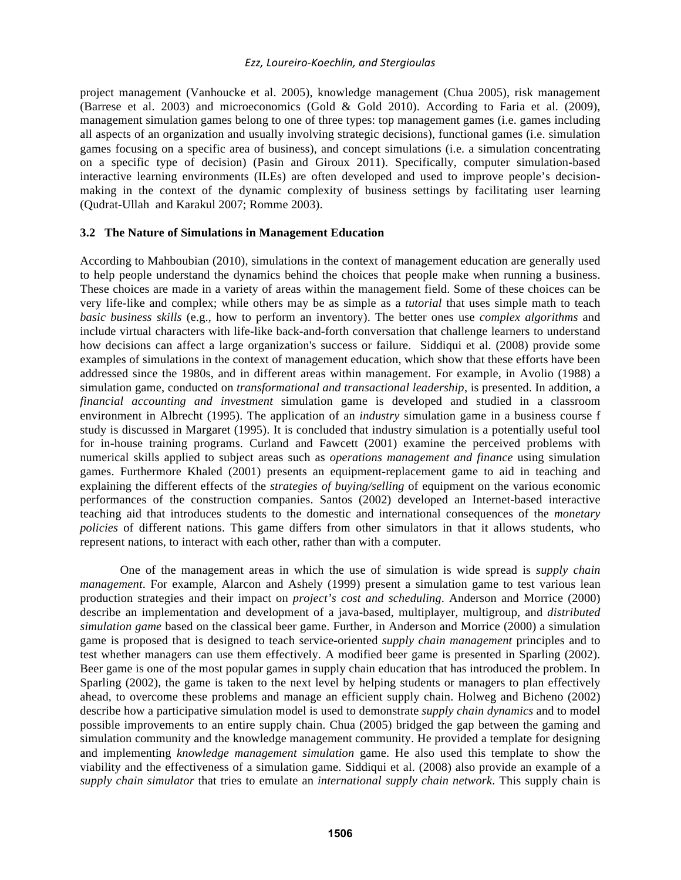project management (Vanhoucke et al. 2005), knowledge management (Chua 2005), risk management (Barrese et al. 2003) and microeconomics (Gold & Gold 2010). According to Faria et al. (2009), management simulation games belong to one of three types: top management games (i.e. games including all aspects of an organization and usually involving strategic decisions), functional games (i.e. simulation games focusing on a specific area of business), and concept simulations (i.e. a simulation concentrating on a specific type of decision) (Pasin and Giroux 2011). Specifically, computer simulation-based interactive learning environments (ILEs) are often developed and used to improve people's decisionmaking in the context of the dynamic complexity of business settings by facilitating user learning (Qudrat-Ullah and Karakul 2007; Romme 2003).

# **3.2 The Nature of Simulations in Management Education**

According to Mahboubian (2010), simulations in the context of management education are generally used to help people understand the dynamics behind the choices that people make when running a business. These choices are made in a variety of areas within the management field. Some of these choices can be very life-like and complex; while others may be as simple as a *tutorial* that uses simple math to teach *basic business skills* (e.g., how to perform an inventory). The better ones use *complex algorithms* and include virtual characters with life-like back-and-forth conversation that challenge learners to understand how decisions can affect a large organization's success or failure. Siddiqui et al. (2008) provide some examples of simulations in the context of management education, which show that these efforts have been addressed since the 1980s, and in different areas within management. For example, in Avolio (1988) a simulation game, conducted on *transformational and transactional leadership*, is presented. In addition, a *financial accounting and investment* simulation game is developed and studied in a classroom environment in Albrecht (1995). The application of an *industry* simulation game in a business course f study is discussed in Margaret (1995). It is concluded that industry simulation is a potentially useful tool for in-house training programs. Curland and Fawcett (2001) examine the perceived problems with numerical skills applied to subject areas such as *operations management and finance* using simulation games. Furthermore Khaled (2001) presents an equipment-replacement game to aid in teaching and explaining the different effects of the *strategies of buying/selling* of equipment on the various economic performances of the construction companies. Santos (2002) developed an Internet-based interactive teaching aid that introduces students to the domestic and international consequences of the *monetary policies* of different nations. This game differs from other simulators in that it allows students, who represent nations, to interact with each other, rather than with a computer.

One of the management areas in which the use of simulation is wide spread is *supply chain management*. For example, Alarcon and Ashely (1999) present a simulation game to test various lean production strategies and their impact on *project's cost and scheduling*. Anderson and Morrice (2000) describe an implementation and development of a java-based, multiplayer, multigroup, and *distributed simulation game* based on the classical beer game. Further, in Anderson and Morrice (2000) a simulation game is proposed that is designed to teach service-oriented *supply chain management* principles and to test whether managers can use them effectively. A modified beer game is presented in Sparling (2002). Beer game is one of the most popular games in supply chain education that has introduced the problem. In Sparling (2002), the game is taken to the next level by helping students or managers to plan effectively ahead, to overcome these problems and manage an efficient supply chain. Holweg and Bicheno (2002) describe how a participative simulation model is used to demonstrate *supply chain dynamics* and to model possible improvements to an entire supply chain. Chua (2005) bridged the gap between the gaming and simulation community and the knowledge management community. He provided a template for designing and implementing *knowledge management simulation* game. He also used this template to show the viability and the effectiveness of a simulation game. Siddiqui et al. (2008) also provide an example of a *supply chain simulator* that tries to emulate an *international supply chain network*. This supply chain is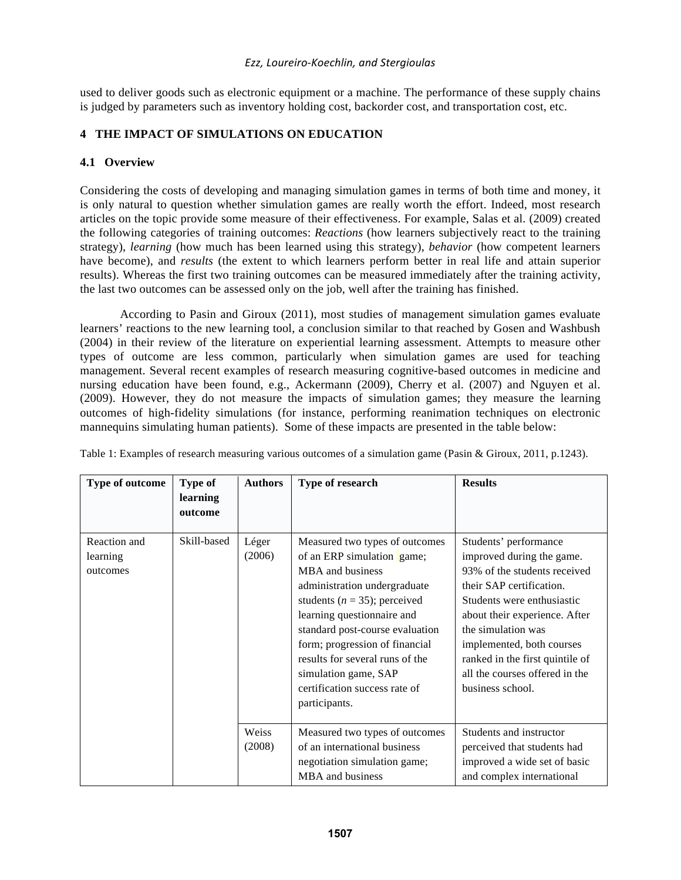used to deliver goods such as electronic equipment or a machine. The performance of these supply chains is judged by parameters such as inventory holding cost, backorder cost, and transportation cost, etc.

# **4 THE IMPACT OF SIMULATIONS ON EDUCATION**

# **4.1 Overview**

Considering the costs of developing and managing simulation games in terms of both time and money, it is only natural to question whether simulation games are really worth the effort. Indeed, most research articles on the topic provide some measure of their effectiveness. For example, Salas et al. (2009) created the following categories of training outcomes: *Reactions* (how learners subjectively react to the training strategy), *learning* (how much has been learned using this strategy), *behavior* (how competent learners have become), and *results* (the extent to which learners perform better in real life and attain superior results). Whereas the first two training outcomes can be measured immediately after the training activity, the last two outcomes can be assessed only on the job, well after the training has finished.

According to Pasin and Giroux (2011), most studies of management simulation games evaluate learners' reactions to the new learning tool, a conclusion similar to that reached by Gosen and Washbush (2004) in their review of the literature on experiential learning assessment. Attempts to measure other types of outcome are less common, particularly when simulation games are used for teaching management. Several recent examples of research measuring cognitive-based outcomes in medicine and nursing education have been found, e.g., Ackermann (2009), Cherry et al. (2007) and Nguyen et al. (2009). However, they do not measure the impacts of simulation games; they measure the learning outcomes of high-fidelity simulations (for instance, performing reanimation techniques on electronic mannequins simulating human patients). Some of these impacts are presented in the table below:

| Type of outcome                      | Type of<br>learning<br>outcome | <b>Authors</b>  | Type of research                                                                                                                                                                                                                                                                                                                                                     | <b>Results</b>                                                                                                                                                                                                                                                                                                            |
|--------------------------------------|--------------------------------|-----------------|----------------------------------------------------------------------------------------------------------------------------------------------------------------------------------------------------------------------------------------------------------------------------------------------------------------------------------------------------------------------|---------------------------------------------------------------------------------------------------------------------------------------------------------------------------------------------------------------------------------------------------------------------------------------------------------------------------|
| Reaction and<br>learning<br>outcomes | Skill-based                    | Léger<br>(2006) | Measured two types of outcomes<br>of an ERP simulation game;<br>MBA and business<br>administration undergraduate<br>students ( $n = 35$ ); perceived<br>learning questionnaire and<br>standard post-course evaluation<br>form; progression of financial<br>results for several runs of the<br>simulation game, SAP<br>certification success rate of<br>participants. | Students' performance<br>improved during the game.<br>93% of the students received<br>their SAP certification.<br>Students were enthusiastic<br>about their experience. After<br>the simulation was<br>implemented, both courses<br>ranked in the first quintile of<br>all the courses offered in the<br>business school. |
|                                      |                                | Weiss<br>(2008) | Measured two types of outcomes<br>of an international business<br>negotiation simulation game;<br>MBA and business                                                                                                                                                                                                                                                   | Students and instructor<br>perceived that students had<br>improved a wide set of basic<br>and complex international                                                                                                                                                                                                       |

Table 1: Examples of research measuring various outcomes of a simulation game (Pasin & Giroux, 2011, p.1243).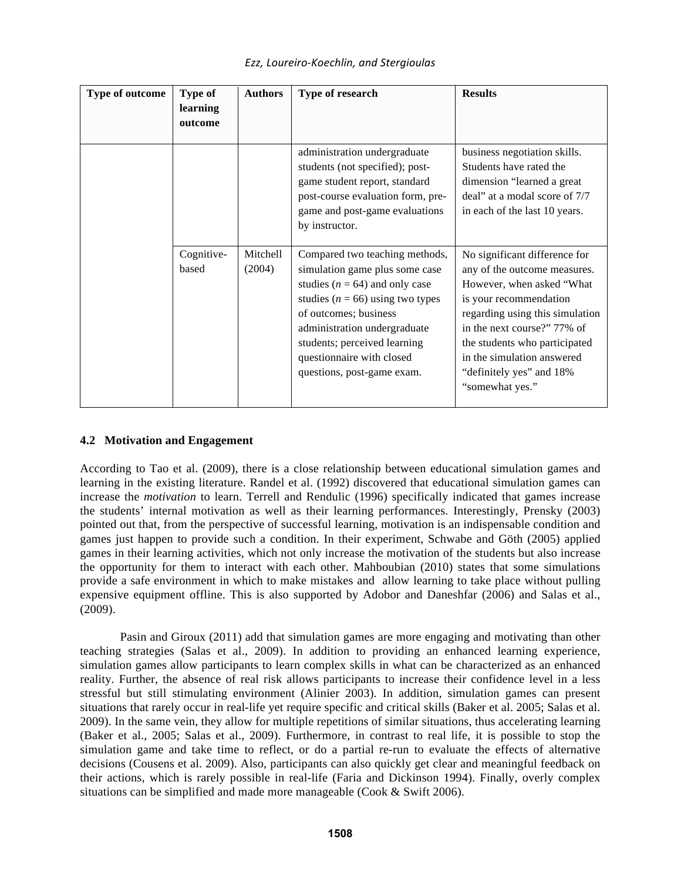| Type of outcome | Type of<br>learning<br>outcome | <b>Authors</b>     | Type of research                                                                                                                                                                                                                                                                                   | <b>Results</b>                                                                                                                                                                                                                                                                                       |
|-----------------|--------------------------------|--------------------|----------------------------------------------------------------------------------------------------------------------------------------------------------------------------------------------------------------------------------------------------------------------------------------------------|------------------------------------------------------------------------------------------------------------------------------------------------------------------------------------------------------------------------------------------------------------------------------------------------------|
|                 |                                |                    | administration undergraduate<br>students (not specified); post-<br>game student report, standard<br>post-course evaluation form, pre-<br>game and post-game evaluations<br>by instructor.                                                                                                          | business negotiation skills.<br>Students have rated the<br>dimension "learned a great<br>deal" at a modal score of 7/7<br>in each of the last 10 years.                                                                                                                                              |
|                 | Cognitive-<br>based            | Mitchell<br>(2004) | Compared two teaching methods,<br>simulation game plus some case<br>studies ( $n = 64$ ) and only case<br>studies ( $n = 66$ ) using two types<br>of outcomes; business<br>administration undergraduate<br>students; perceived learning<br>questionnaire with closed<br>questions, post-game exam. | No significant difference for<br>any of the outcome measures.<br>However, when asked "What<br>is your recommendation<br>regarding using this simulation<br>in the next course?" 77% of<br>the students who participated<br>in the simulation answered<br>"definitely yes" and 18%<br>"somewhat yes." |

# **4.2 Motivation and Engagement**

According to Tao et al. (2009), there is a close relationship between educational simulation games and learning in the existing literature. Randel et al. (1992) discovered that educational simulation games can increase the *motivation* to learn. Terrell and Rendulic (1996) specifically indicated that games increase the students' internal motivation as well as their learning performances. Interestingly, Prensky (2003) pointed out that, from the perspective of successful learning, motivation is an indispensable condition and games just happen to provide such a condition. In their experiment, Schwabe and Göth (2005) applied games in their learning activities, which not only increase the motivation of the students but also increase the opportunity for them to interact with each other. Mahboubian (2010) states that some simulations provide a safe environment in which to make mistakes and allow learning to take place without pulling expensive equipment offline. This is also supported by Adobor and Daneshfar (2006) and Salas et al., (2009).

Pasin and Giroux (2011) add that simulation games are more engaging and motivating than other teaching strategies (Salas et al., 2009). In addition to providing an enhanced learning experience, simulation games allow participants to learn complex skills in what can be characterized as an enhanced reality. Further, the absence of real risk allows participants to increase their confidence level in a less stressful but still stimulating environment (Alinier 2003). In addition, simulation games can present situations that rarely occur in real-life yet require specific and critical skills (Baker et al. 2005; Salas et al. 2009). In the same vein, they allow for multiple repetitions of similar situations, thus accelerating learning (Baker et al., 2005; Salas et al., 2009). Furthermore, in contrast to real life, it is possible to stop the simulation game and take time to reflect, or do a partial re-run to evaluate the effects of alternative decisions (Cousens et al. 2009). Also, participants can also quickly get clear and meaningful feedback on their actions, which is rarely possible in real-life (Faria and Dickinson 1994). Finally, overly complex situations can be simplified and made more manageable (Cook & Swift 2006).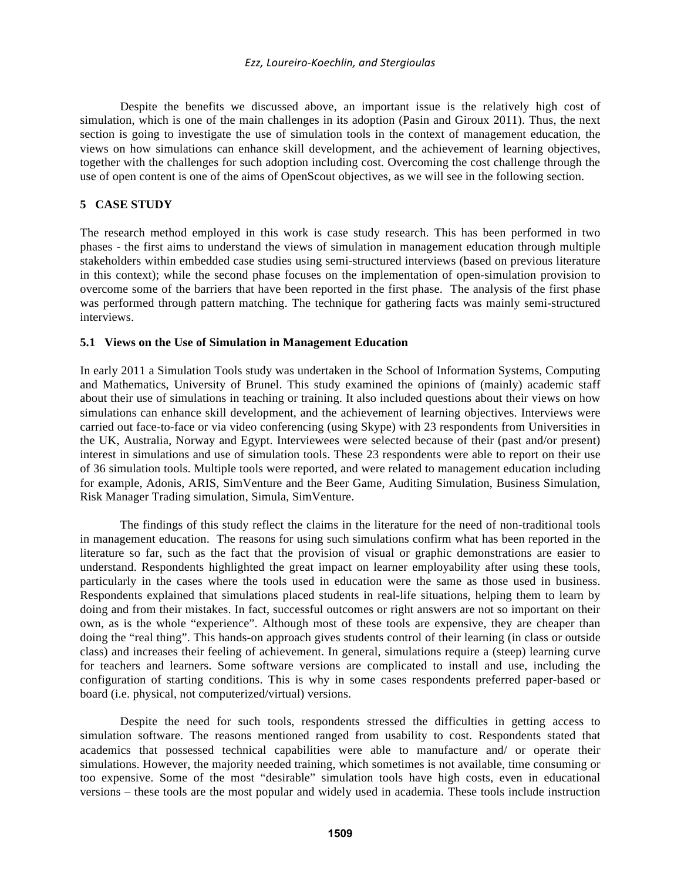Despite the benefits we discussed above, an important issue is the relatively high cost of simulation, which is one of the main challenges in its adoption (Pasin and Giroux 2011). Thus, the next section is going to investigate the use of simulation tools in the context of management education, the views on how simulations can enhance skill development, and the achievement of learning objectives, together with the challenges for such adoption including cost. Overcoming the cost challenge through the use of open content is one of the aims of OpenScout objectives, as we will see in the following section.

# **5 CASE STUDY**

The research method employed in this work is case study research. This has been performed in two phases - the first aims to understand the views of simulation in management education through multiple stakeholders within embedded case studies using semi-structured interviews (based on previous literature in this context); while the second phase focuses on the implementation of open-simulation provision to overcome some of the barriers that have been reported in the first phase. The analysis of the first phase was performed through pattern matching. The technique for gathering facts was mainly semi-structured interviews.

# **5.1 Views on the Use of Simulation in Management Education**

In early 2011 a Simulation Tools study was undertaken in the School of Information Systems, Computing and Mathematics, University of Brunel. This study examined the opinions of (mainly) academic staff about their use of simulations in teaching or training. It also included questions about their views on how simulations can enhance skill development, and the achievement of learning objectives. Interviews were carried out face-to-face or via video conferencing (using Skype) with 23 respondents from Universities in the UK, Australia, Norway and Egypt. Interviewees were selected because of their (past and/or present) interest in simulations and use of simulation tools. These 23 respondents were able to report on their use of 36 simulation tools. Multiple tools were reported, and were related to management education including for example, Adonis, ARIS, SimVenture and the Beer Game, Auditing Simulation, Business Simulation, Risk Manager Trading simulation, Simula, SimVenture.

The findings of this study reflect the claims in the literature for the need of non-traditional tools in management education. The reasons for using such simulations confirm what has been reported in the literature so far, such as the fact that the provision of visual or graphic demonstrations are easier to understand. Respondents highlighted the great impact on learner employability after using these tools, particularly in the cases where the tools used in education were the same as those used in business. Respondents explained that simulations placed students in real-life situations, helping them to learn by doing and from their mistakes. In fact, successful outcomes or right answers are not so important on their own, as is the whole "experience". Although most of these tools are expensive, they are cheaper than doing the "real thing". This hands-on approach gives students control of their learning (in class or outside class) and increases their feeling of achievement. In general, simulations require a (steep) learning curve for teachers and learners. Some software versions are complicated to install and use, including the configuration of starting conditions. This is why in some cases respondents preferred paper-based or board (i.e. physical, not computerized/virtual) versions.

Despite the need for such tools, respondents stressed the difficulties in getting access to simulation software. The reasons mentioned ranged from usability to cost. Respondents stated that academics that possessed technical capabilities were able to manufacture and/ or operate their simulations. However, the majority needed training, which sometimes is not available, time consuming or too expensive. Some of the most "desirable" simulation tools have high costs, even in educational versions – these tools are the most popular and widely used in academia. These tools include instruction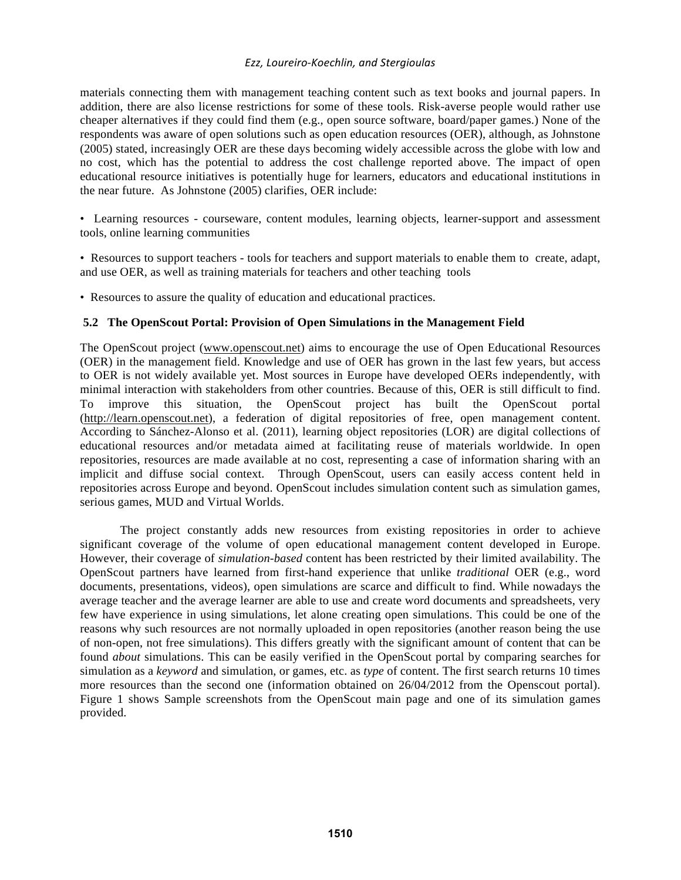materials connecting them with management teaching content such as text books and journal papers. In addition, there are also license restrictions for some of these tools. Risk-averse people would rather use cheaper alternatives if they could find them (e.g., open source software, board/paper games.) None of the respondents was aware of open solutions such as open education resources (OER), although, as Johnstone (2005) stated, increasingly OER are these days becoming widely accessible across the globe with low and no cost, which has the potential to address the cost challenge reported above. The impact of open educational resource initiatives is potentially huge for learners, educators and educational institutions in the near future. As Johnstone (2005) clarifies, OER include:

• Learning resources - courseware, content modules, learning objects, learner-support and assessment tools, online learning communities

• Resources to support teachers - tools for teachers and support materials to enable them to create, adapt, and use OER, as well as training materials for teachers and other teaching tools

• Resources to assure the quality of education and educational practices.

# **5.2 The OpenScout Portal: Provision of Open Simulations in the Management Field**

The OpenScout project (www.openscout.net) aims to encourage the use of Open Educational Resources (OER) in the management field. Knowledge and use of OER has grown in the last few years, but access to OER is not widely available yet. Most sources in Europe have developed OERs independently, with minimal interaction with stakeholders from other countries. Because of this, OER is still difficult to find. To improve this situation, the OpenScout project has built the OpenScout portal (http://learn.openscout.net), a federation of digital repositories of free, open management content. According to Sánchez-Alonso et al. (2011), learning object repositories (LOR) are digital collections of educational resources and/or metadata aimed at facilitating reuse of materials worldwide. In open repositories, resources are made available at no cost, representing a case of information sharing with an implicit and diffuse social context. Through OpenScout, users can easily access content held in repositories across Europe and beyond. OpenScout includes simulation content such as simulation games, serious games, MUD and Virtual Worlds.

The project constantly adds new resources from existing repositories in order to achieve significant coverage of the volume of open educational management content developed in Europe. However, their coverage of *simulation-based* content has been restricted by their limited availability. The OpenScout partners have learned from first-hand experience that unlike *traditional* OER (e.g., word documents, presentations, videos), open simulations are scarce and difficult to find. While nowadays the average teacher and the average learner are able to use and create word documents and spreadsheets, very few have experience in using simulations, let alone creating open simulations. This could be one of the reasons why such resources are not normally uploaded in open repositories (another reason being the use of non-open, not free simulations). This differs greatly with the significant amount of content that can be found *about* simulations. This can be easily verified in the OpenScout portal by comparing searches for simulation as a *keyword* and simulation, or games, etc. as *type* of content. The first search returns 10 times more resources than the second one (information obtained on 26/04/2012 from the Openscout portal). Figure 1 shows Sample screenshots from the OpenScout main page and one of its simulation games provided.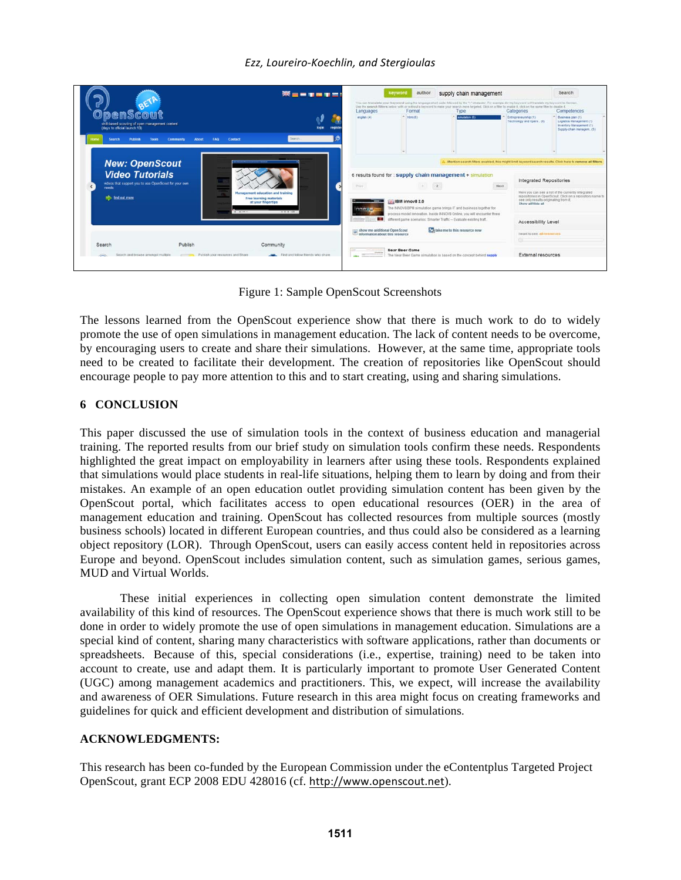|                                                                                                                                                                                                      | $\mathbb{R} = -1 - 1$                                                                                                                                                                                         |                                                                                                                                                                                                                                                                                 | author<br>keyword<br>supply chain management<br>You can translate your keyword uses the language short code followed by the ">" chalacter. For example devely keyword will translate my keyword to German<br>Use the search filters below with or without a linyword to make your search more tarpeted. Clos on a filter to enable it, clos on the same filter to dealite it. |                                                                 |                                                                                                                                                                                |  |
|------------------------------------------------------------------------------------------------------------------------------------------------------------------------------------------------------|---------------------------------------------------------------------------------------------------------------------------------------------------------------------------------------------------------------|---------------------------------------------------------------------------------------------------------------------------------------------------------------------------------------------------------------------------------------------------------------------------------|-------------------------------------------------------------------------------------------------------------------------------------------------------------------------------------------------------------------------------------------------------------------------------------------------------------------------------------------------------------------------------|-----------------------------------------------------------------|--------------------------------------------------------------------------------------------------------------------------------------------------------------------------------|--|
| skill-based scouting of open management content<br>(days to official launch:13)                                                                                                                      | login<br>registe                                                                                                                                                                                              | Languages<br>english (4)                                                                                                                                                                                                                                                        | Format<br>Type<br><b>Med (6)</b><br>amulation (8)                                                                                                                                                                                                                                                                                                                             | Categories<br>Estimaneneurship (1)<br>Technology and Opera. (8) | Competences<br>Business plan (1)<br>Logistics Management (1)<br>Inventory Management (1)<br>Supply-chain managem. (5)                                                          |  |
| Contact<br><b>Publish</b><br>Search<br>Community<br><b>FAQ</b><br><b>About</b><br><b>New: OpenScout</b><br><b>Video Tutorials</b><br>videos that support you to use OpenScout for your own.<br>needs | A Abertion search filters enabled, this might limit keyword search results. Click here to remove all filters<br>6 results found for : supply chain management + simulation<br>Integrated Repositories<br>Next |                                                                                                                                                                                                                                                                                 |                                                                                                                                                                                                                                                                                                                                                                               |                                                                 |                                                                                                                                                                                |  |
| find out more<br>P. Mi 99(10)                                                                                                                                                                        | Management education and training<br><b>Free learning materials</b><br>at your fingertips<br>(m 0 0 ml)                                                                                                       | <b>IBM innov8 2.0</b><br>The INNOVS BPM simulation game brings IT and business together for<br>ששמחו<br>process model innovation, Inside INNOVS Online, you will encounter three<br>different game scenarios: Smarter Traffic -- Evatuate existing traff.<br>eternal literature |                                                                                                                                                                                                                                                                                                                                                                               | Show all Nide all                                               | Here you can see a list of the currently integrated<br>repositotes in OpenScout, Click on a repository name to<br>see only results originaling from it.<br>Accessibility Level |  |
| Publish<br>Search                                                                                                                                                                                    | Community                                                                                                                                                                                                     | show me additional Open Scout<br>information about this resource                                                                                                                                                                                                                | a take me to this resource now                                                                                                                                                                                                                                                                                                                                                | I won't to new all researches.                                  |                                                                                                                                                                                |  |
| Search and browse amongst multiple [1999] Publish your resources and Share                                                                                                                           | Find and follow friends who share                                                                                                                                                                             | <b>Near Beer Game</b>                                                                                                                                                                                                                                                           | The Near Beer Game simulation is based on the concept behind supply                                                                                                                                                                                                                                                                                                           |                                                                 | External resources                                                                                                                                                             |  |

Figure 1: Sample OpenScout Screenshots

The lessons learned from the OpenScout experience show that there is much work to do to widely promote the use of open simulations in management education. The lack of content needs to be overcome, by encouraging users to create and share their simulations. However, at the same time, appropriate tools need to be created to facilitate their development. The creation of repositories like OpenScout should encourage people to pay more attention to this and to start creating, using and sharing simulations.

# **6 CONCLUSION**

This paper discussed the use of simulation tools in the context of business education and managerial training. The reported results from our brief study on simulation tools confirm these needs. Respondents highlighted the great impact on employability in learners after using these tools. Respondents explained that simulations would place students in real-life situations, helping them to learn by doing and from their mistakes. An example of an open education outlet providing simulation content has been given by the OpenScout portal, which facilitates access to open educational resources (OER) in the area of management education and training. OpenScout has collected resources from multiple sources (mostly business schools) located in different European countries, and thus could also be considered as a learning object repository (LOR). Through OpenScout, users can easily access content held in repositories across Europe and beyond. OpenScout includes simulation content, such as simulation games, serious games, MUD and Virtual Worlds.

These initial experiences in collecting open simulation content demonstrate the limited availability of this kind of resources. The OpenScout experience shows that there is much work still to be done in order to widely promote the use of open simulations in management education. Simulations are a special kind of content, sharing many characteristics with software applications, rather than documents or spreadsheets. Because of this, special considerations (i.e., expertise, training) need to be taken into account to create, use and adapt them. It is particularly important to promote User Generated Content (UGC) among management academics and practitioners. This, we expect, will increase the availability and awareness of OER Simulations. Future research in this area might focus on creating frameworks and guidelines for quick and efficient development and distribution of simulations.

# **ACKNOWLEDGMENTS:**

This research has been co-funded by the European Commission under the eContentplus Targeted Project OpenScout, grant ECP 2008 EDU 428016 (cf. http://www.openscout.net).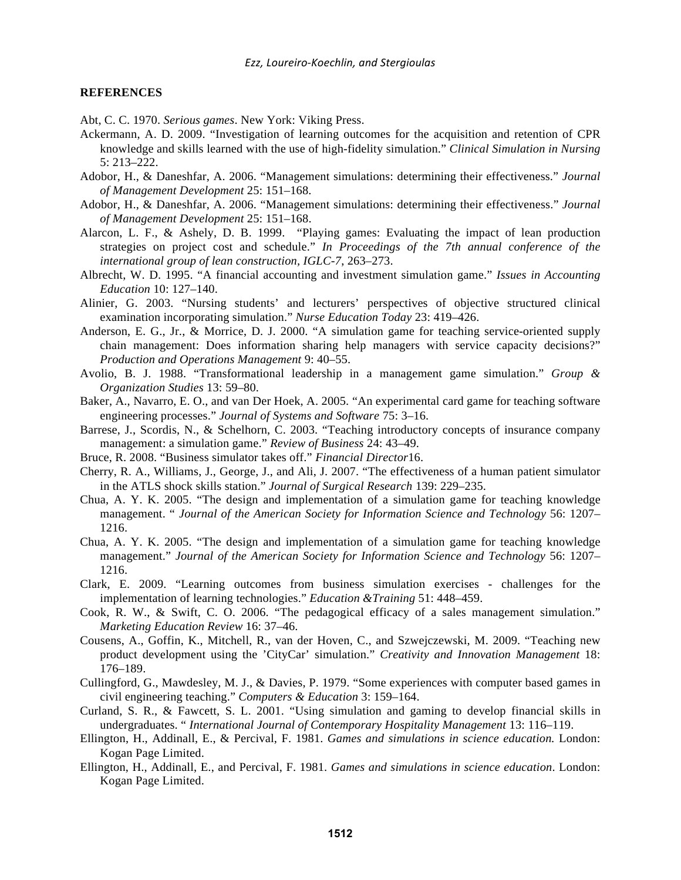### **REFERENCES**

Abt, C. C. 1970. *Serious games*. New York: Viking Press.

- Ackermann, A. D. 2009. "Investigation of learning outcomes for the acquisition and retention of CPR knowledge and skills learned with the use of high-fidelity simulation." *Clinical Simulation in Nursing* 5: 213–222.
- Adobor, H., & Daneshfar, A. 2006. "Management simulations: determining their effectiveness." *Journal of Management Development* 25: 151–168.
- Adobor, H., & Daneshfar, A. 2006. "Management simulations: determining their effectiveness." *Journal of Management Development* 25: 151–168.
- Alarcon, L. F., & Ashely, D. B. 1999. "Playing games: Evaluating the impact of lean production strategies on project cost and schedule." *In Proceedings of the 7th annual conference of the international group of lean construction, IGLC-7*, 263–273.
- Albrecht, W. D. 1995. "A financial accounting and investment simulation game." *Issues in Accounting Education* 10: 127–140.
- Alinier, G. 2003. "Nursing students' and lecturers' perspectives of objective structured clinical examination incorporating simulation." *Nurse Education Today* 23: 419–426.
- Anderson, E. G., Jr., & Morrice, D. J. 2000. "A simulation game for teaching service-oriented supply chain management: Does information sharing help managers with service capacity decisions?" *Production and Operations Management* 9: 40–55.
- Avolio, B. J. 1988. "Transformational leadership in a management game simulation." *Group & Organization Studies* 13: 59–80.
- Baker, A., Navarro, E. O., and van Der Hoek, A. 2005. "An experimental card game for teaching software engineering processes." *Journal of Systems and Software* 75: 3–16.
- Barrese, J., Scordis, N., & Schelhorn, C. 2003. "Teaching introductory concepts of insurance company management: a simulation game." *Review of Business* 24: 43–49.
- Bruce, R. 2008. "Business simulator takes off." *Financial Director*16.
- Cherry, R. A., Williams, J., George, J., and Ali, J. 2007. "The effectiveness of a human patient simulator in the ATLS shock skills station." *Journal of Surgical Research* 139: 229–235.
- Chua, A. Y. K. 2005. "The design and implementation of a simulation game for teaching knowledge management. " *Journal of the American Society for Information Science and Technology* 56: 1207– 1216.
- Chua, A. Y. K. 2005. "The design and implementation of a simulation game for teaching knowledge management." *Journal of the American Society for Information Science and Technology* 56: 1207– 1216.
- Clark, E. 2009. "Learning outcomes from business simulation exercises challenges for the implementation of learning technologies." *Education &Training* 51: 448–459.
- Cook, R. W., & Swift, C. O. 2006. "The pedagogical efficacy of a sales management simulation." *Marketing Education Review* 16: 37–46.
- Cousens, A., Goffin, K., Mitchell, R., van der Hoven, C., and Szwejczewski, M. 2009. "Teaching new product development using the 'CityCar' simulation." *Creativity and Innovation Management* 18: 176–189.
- Cullingford, G., Mawdesley, M. J., & Davies, P. 1979. "Some experiences with computer based games in civil engineering teaching." *Computers & Education* 3: 159–164.
- Curland, S. R., & Fawcett, S. L. 2001. "Using simulation and gaming to develop financial skills in undergraduates. " *International Journal of Contemporary Hospitality Management* 13: 116–119.
- Ellington, H., Addinall, E., & Percival, F. 1981. *Games and simulations in science education.* London: Kogan Page Limited.
- Ellington, H., Addinall, E., and Percival, F. 1981. *Games and simulations in science education*. London: Kogan Page Limited.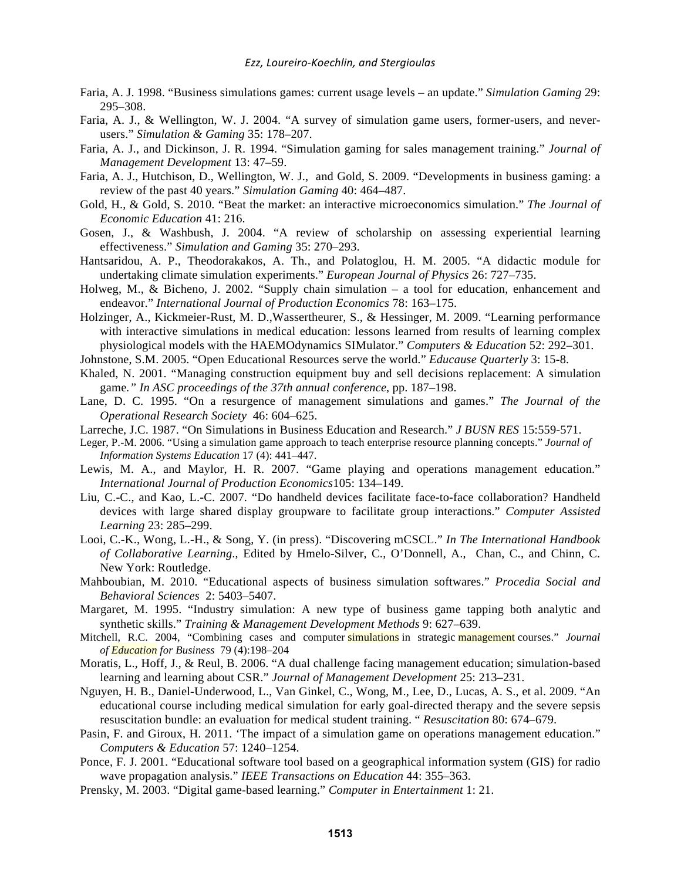- Faria, A. J. 1998. "Business simulations games: current usage levels an update." *Simulation Gaming* 29: 295–308.
- Faria, A. J., & Wellington, W. J. 2004. "A survey of simulation game users, former-users, and neverusers." *Simulation & Gaming* 35: 178–207.
- Faria, A. J., and Dickinson, J. R. 1994. "Simulation gaming for sales management training." *Journal of Management Development* 13: 47–59.
- Faria, A. J., Hutchison, D., Wellington, W. J., and Gold, S. 2009. "Developments in business gaming: a review of the past 40 years." *Simulation Gaming* 40: 464–487.
- Gold, H., & Gold, S. 2010. "Beat the market: an interactive microeconomics simulation." *The Journal of Economic Education* 41: 216.
- Gosen, J., & Washbush, J. 2004. "A review of scholarship on assessing experiential learning effectiveness." *Simulation and Gaming* 35: 270–293.
- Hantsaridou, A. P., Theodorakakos, A. Th., and Polatoglou, H. M. 2005. "A didactic module for undertaking climate simulation experiments." *European Journal of Physics* 26: 727–735.
- Holweg, M., & Bicheno, J. 2002. "Supply chain simulation a tool for education, enhancement and endeavor." *International Journal of Production Economics* 78: 163–175.
- Holzinger, A., Kickmeier-Rust, M. D.,Wassertheurer, S., & Hessinger, M. 2009. "Learning performance with interactive simulations in medical education: lessons learned from results of learning complex physiological models with the HAEMOdynamics SIMulator." *Computers & Education* 52: 292–301.
- Johnstone, S.M. 2005. "Open Educational Resources serve the world." *Educause Quarterly* 3: 15-8.
- Khaled, N. 2001. "Managing construction equipment buy and sell decisions replacement: A simulation game*." In ASC proceedings of the 37th annual conference*, pp. 187–198.
- Lane, D. C. 1995. "On a resurgence of management simulations and games." *The Journal of the Operational Research Society* 46: 604–625.
- Larreche, J.C. 1987. "On Simulations in Business Education and Research." *J BUSN RES* 15:559-571.
- Leger, P.-M. 2006. "Using a simulation game approach to teach enterprise resource planning concepts." *Journal of Information Systems Education* 17 (4): 441–447.
- Lewis, M. A., and Maylor, H. R. 2007. "Game playing and operations management education." *International Journal of Production Economics*105: 134–149.
- Liu, C.-C., and Kao, L.-C. 2007. "Do handheld devices facilitate face-to-face collaboration? Handheld devices with large shared display groupware to facilitate group interactions." *Computer Assisted Learning* 23: 285–299.
- Looi, C.-K., Wong, L.-H., & Song, Y. (in press). "Discovering mCSCL." *In The International Handbook of Collaborative Learning*., Edited by Hmelo-Silver, C., O'Donnell, A., Chan, C., and Chinn, C. New York: Routledge.
- Mahboubian, M. 2010. "Educational aspects of business simulation softwares." *Procedia Social and Behavioral Sciences* 2: 5403–5407.
- Margaret, M. 1995. "Industry simulation: A new type of business game tapping both analytic and synthetic skills." *Training & Management Development Methods* 9: 627–639.
- Mitchell, R.C. 2004, "Combining cases and computer simulations in strategic management courses." *Journal of Education for Business* 79 (4):198–204
- Moratis, L., Hoff, J., & Reul, B. 2006. "A dual challenge facing management education; simulation-based learning and learning about CSR." *Journal of Management Development* 25: 213–231.
- Nguyen, H. B., Daniel-Underwood, L., Van Ginkel, C., Wong, M., Lee, D., Lucas, A. S., et al. 2009. "An educational course including medical simulation for early goal-directed therapy and the severe sepsis resuscitation bundle: an evaluation for medical student training. " *Resuscitation* 80: 674–679.
- Pasin, F. and Giroux, H. 2011. 'The impact of a simulation game on operations management education." *Computers & Education* 57: 1240–1254.
- Ponce, F. J. 2001. "Educational software tool based on a geographical information system (GIS) for radio wave propagation analysis." *IEEE Transactions on Education* 44: 355–363.
- Prensky, M. 2003. "Digital game-based learning." *Computer in Entertainment* 1: 21.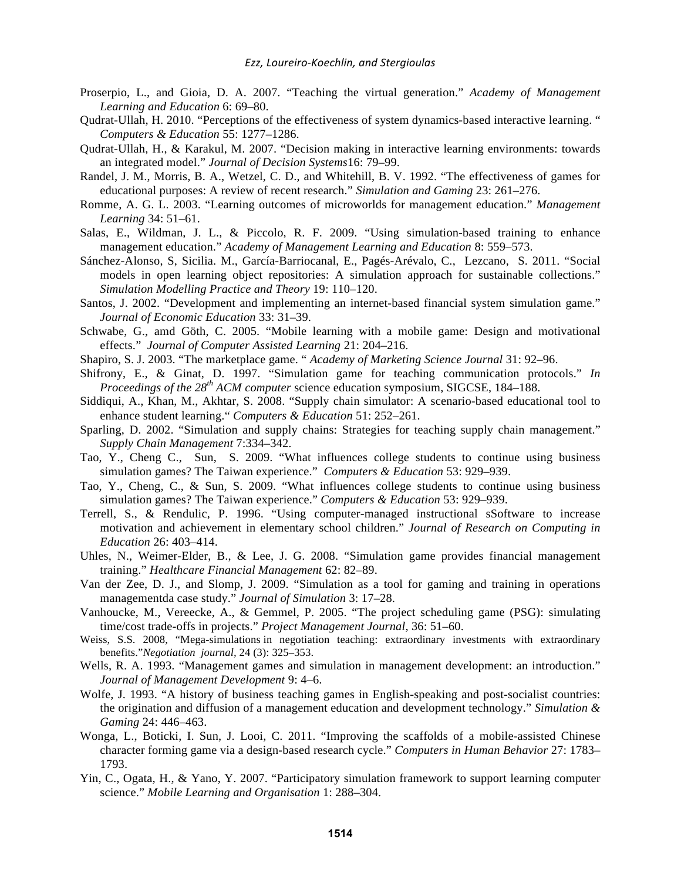- Proserpio, L., and Gioia, D. A. 2007. "Teaching the virtual generation." *Academy of Management Learning and Education* 6: 69–80.
- Qudrat-Ullah, H. 2010. "Perceptions of the effectiveness of system dynamics-based interactive learning. " *Computers & Education* 55: 1277–1286.
- Qudrat-Ullah, H., & Karakul, M. 2007. "Decision making in interactive learning environments: towards an integrated model." *Journal of Decision Systems*16: 79–99.
- Randel, J. M., Morris, B. A., Wetzel, C. D., and Whitehill, B. V. 1992. "The effectiveness of games for educational purposes: A review of recent research." *Simulation and Gaming* 23: 261–276.
- Romme, A. G. L. 2003. "Learning outcomes of microworlds for management education." *Management Learning* 34: 51–61.
- Salas, E., Wildman, J. L., & Piccolo, R. F. 2009. "Using simulation-based training to enhance management education." *Academy of Management Learning and Education* 8: 559–573.
- Sánchez-Alonso, S, Sicilia. M., García-Barriocanal, E., Pagés-Arévalo, C., Lezcano, S. 2011. "Social models in open learning object repositories: A simulation approach for sustainable collections." *Simulation Modelling Practice and Theory* 19: 110–120.
- Santos, J. 2002. "Development and implementing an internet-based financial system simulation game." *Journal of Economic Education* 33: 31–39.
- Schwabe, G., amd Göth, C. 2005. "Mobile learning with a mobile game: Design and motivational effects." *Journal of Computer Assisted Learning* 21: 204–216.
- Shapiro, S. J. 2003. "The marketplace game. " *Academy of Marketing Science Journal* 31: 92–96.
- Shifrony, E., & Ginat, D. 1997. "Simulation game for teaching communication protocols." *In Proceedings of the 28th ACM computer* science education symposium, SIGCSE, 184–188.
- Siddiqui, A., Khan, M., Akhtar, S. 2008. "Supply chain simulator: A scenario-based educational tool to enhance student learning." *Computers & Education* 51: 252–261.
- Sparling, D. 2002. "Simulation and supply chains: Strategies for teaching supply chain management." *Supply Chain Management* 7:334–342.
- Tao, Y., Cheng C., Sun, S. 2009. "What influences college students to continue using business simulation games? The Taiwan experience." *Computers & Education* 53: 929–939.
- Tao, Y., Cheng, C., & Sun, S. 2009. "What influences college students to continue using business simulation games? The Taiwan experience." *Computers & Education* 53: 929–939.
- Terrell, S., & Rendulic, P. 1996. "Using computer-managed instructional sSoftware to increase motivation and achievement in elementary school children." *Journal of Research on Computing in Education* 26: 403–414.
- Uhles, N., Weimer-Elder, B., & Lee, J. G. 2008. "Simulation game provides financial management training." *Healthcare Financial Management* 62: 82–89.
- Van der Zee, D. J., and Slomp, J. 2009. "Simulation as a tool for gaming and training in operations managementda case study." *Journal of Simulation* 3: 17–28.
- Vanhoucke, M., Vereecke, A., & Gemmel, P. 2005. "The project scheduling game (PSG): simulating time/cost trade-offs in projects." *Project Management Journal*, 36: 51–60.
- Weiss, S.S. 2008, "Mega-simulations in negotiation teaching: extraordinary investments with extraordinary benefits."*Negotiation journal,* 24 (3): 325–353.
- Wells, R. A. 1993. "Management games and simulation in management development: an introduction." *Journal of Management Development* 9: 4–6.
- Wolfe, J. 1993. "A history of business teaching games in English-speaking and post-socialist countries: the origination and diffusion of a management education and development technology." *Simulation & Gaming* 24: 446–463.
- Wonga, L., Boticki, I. Sun, J. Looi, C. 2011. "Improving the scaffolds of a mobile-assisted Chinese character forming game via a design-based research cycle." *Computers in Human Behavior* 27: 1783– 1793.
- Yin, C., Ogata, H., & Yano, Y. 2007. "Participatory simulation framework to support learning computer science." *Mobile Learning and Organisation* 1: 288–304.